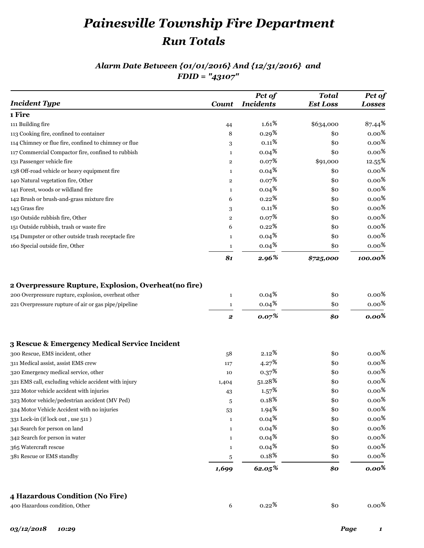# *Painesville Township Fire Department Run Totals*

### *Alarm Date Between {01/01/2016} And {12/31/2016} and FDID = "43107"*

| <b>Incident Type</b>                                                                                                                                                 | Count                            | Pct of<br><b>Incidents</b>             | <b>Total</b><br><b>Est Loss</b> | Pct of<br><b>Losses</b>      |
|----------------------------------------------------------------------------------------------------------------------------------------------------------------------|----------------------------------|----------------------------------------|---------------------------------|------------------------------|
| 1 Fire                                                                                                                                                               |                                  |                                        |                                 |                              |
| 111 Building fire                                                                                                                                                    | 44                               | $1.61\%$                               | \$634,000                       | $87.44\text{ }^{\circ}$      |
| 113 Cooking fire, confined to container                                                                                                                              | 8                                | 0.29 <sup>8</sup>                      | \$0                             | 0.00 $\frac{8}{3}$           |
| 114 Chimney or flue fire, confined to chimney or flue                                                                                                                | 3                                | $0.11\%$                               | \$0                             | $0.00\,{}^8$                 |
| 117 Commercial Compactor fire, confined to rubbish                                                                                                                   | $\mathbf{1}$                     | $0.04\frac{8}{5}$                      | \$0                             | $0.00\,{}^8$                 |
| 131 Passenger vehicle fire                                                                                                                                           | $\overline{2}$                   | 0.07 <sup>8</sup>                      | \$91,000                        | $12.55^{\frac{6}{5}}$        |
| 138 Off-road vehicle or heavy equipment fire                                                                                                                         | $\mathbf{1}$                     | $0.04\frac{8}{5}$                      | \$0                             | $0.00\,{}^8$                 |
| 140 Natural vegetation fire, Other                                                                                                                                   | $\mathbf{2}$                     | 0.07 <sup>8</sup>                      | \$0                             | $0.00\,{}^8$                 |
| 141 Forest, woods or wildland fire                                                                                                                                   | $\mathbf{1}$                     | $0.04\frac{8}{5}$                      | \$0                             | 0.00 $\frac{8}{3}$           |
| 142 Brush or brush-and-grass mixture fire                                                                                                                            | 6                                | 0.22 <sup>8</sup>                      | \$0                             | $0.00\,{}^8$                 |
| 143 Grass fire                                                                                                                                                       | 3                                | $0.11\frac{8}{9}$                      | \$0                             | 0.00 $\frac{8}{3}$           |
| 150 Outside rubbish fire, Other                                                                                                                                      | $\overline{2}$                   | 0.07 <sup>8</sup>                      | \$0                             | $0.00\,{}^8$                 |
| 151 Outside rubbish, trash or waste fire                                                                                                                             | 6                                | $0.22\,{}^{8}$                         | \$0                             | 0.00 $\frac{8}{3}$           |
| 154 Dumpster or other outside trash receptacle fire                                                                                                                  | $\mathbf{1}$                     | $0.04\frac{8}{5}$                      | \$0                             | $0.00\,{}^8$                 |
| 160 Special outside fire, Other                                                                                                                                      | $\mathbf{1}$                     | 0.04 <sup>8</sup>                      | \$0                             | $0.00\,{}^8$                 |
|                                                                                                                                                                      | 81                               | 2.96%                                  | \$725,000                       | $100.00\%$                   |
|                                                                                                                                                                      | $\mathbf{1}$                     | $0.04\frac{8}{3}$                      | \$0                             |                              |
| 2 Overpressure Rupture, Explosion, Overheat (no fire)<br>200 Overpressure rupture, explosion, overheat other<br>221 Overpressure rupture of air or gas pipe/pipeline | $\mathbf{1}$<br>$\boldsymbol{2}$ | $0.04\,{}^8$<br>$0.07\%$               | \$0<br>\$0                      | $0.00\,{}^8$                 |
|                                                                                                                                                                      |                                  |                                        |                                 | $0.00\,$ %<br>$0.00\%$       |
|                                                                                                                                                                      |                                  |                                        |                                 |                              |
| 300 Rescue, EMS incident, other                                                                                                                                      | 58                               | $2.12\,{}^{{}^{{}^{{}^{\circ}}}}$      | \$0                             | 0.00 $\frac{8}{3}$           |
| 3 Rescue & Emergency Medical Service Incident<br>311 Medical assist, assist EMS crew                                                                                 | 117                              | 4.27 <sup>8</sup>                      | \$0                             | $0.00\,{}^8$                 |
| 320 Emergency medical service, other                                                                                                                                 | 10                               | 0.37 <sup>8</sup>                      | \$0                             | 0.00 $\frac{8}{3}$           |
| 321 EMS call, excluding vehicle accident with injury                                                                                                                 | 1,404                            | 51.28 <sup>8</sup>                     | \$0                             | 0.00 $\frac{8}{3}$           |
| 322 Motor vehicle accident with injuries                                                                                                                             | 43                               | 1.57 <sup>8</sup>                      | \$0                             | $0.00\,{}^8$                 |
| 323 Motor vehicle/pedestrian accident (MV Ped)                                                                                                                       | 5                                | $0.18\,{}^8$                           | \$0                             | $0.00\,{}^8$                 |
| 324 Motor Vehicle Accident with no injuries                                                                                                                          | 53                               | $1.94*$                                | \$0                             |                              |
| 331 Lock-in (if lock out, use 511)<br>341 Search for person on land                                                                                                  | $\mathbf{1}$<br>$\mathbf{1}$     | $0.04\,{}^8$                           | \$0                             | $0.00\,{}^8$                 |
| 342 Search for person in water                                                                                                                                       | $\mathbf{1}$                     | $0.04\frac{8}{5}$<br>$0.04\frac{8}{5}$ | \$0<br>\$0                      | $0.00\,{}^8$<br>$0.00\,{}^8$ |
| 365 Watercraft rescue                                                                                                                                                | $\mathbf{1}$                     | $0.04\frac{8}{5}$                      | \$0                             | $0.00\,{}^8$                 |
| 381 Rescue or EMS standby                                                                                                                                            | 5                                | 0.18 <sup>8</sup>                      | \$0                             | $0.00\,$ %<br>$0.00\,{}^8$   |

#### **4 Hazardous Condition (No Fire)**

| 400 Hazardous condition, Other |  | $0.22\%$ | \$0 | $0.00\,{}^8$ |
|--------------------------------|--|----------|-----|--------------|
|--------------------------------|--|----------|-----|--------------|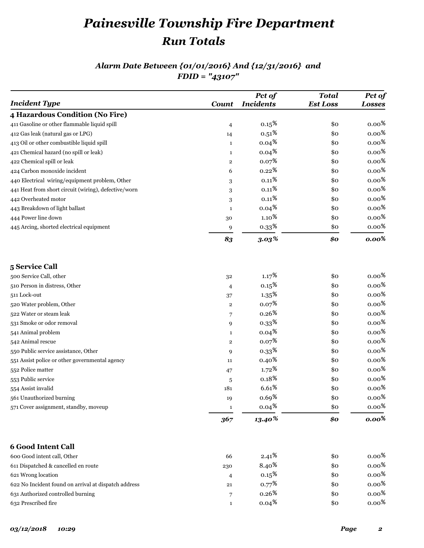# *Painesville Township Fire Department Run Totals*

### *Alarm Date Between {01/01/2016} And {12/31/2016} and FDID = "43107"*

| <b>Incident Type</b>                                 | Count          | Pct of<br><b>Incidents</b> | <b>Total</b><br><b>Est Loss</b> | Pct of<br><b>Losses</b> |
|------------------------------------------------------|----------------|----------------------------|---------------------------------|-------------------------|
| 4 Hazardous Condition (No Fire)                      |                |                            |                                 |                         |
| 411 Gasoline or other flammable liquid spill         | $\overline{4}$ | 0.15 <sup>8</sup>          | \$0                             | $0.00\,{}^8$            |
| 412 Gas leak (natural gas or LPG)                    | 14             | $0.51\,{}^8$               | \$0                             | $0.00\,{}^8$            |
| 413 Oil or other combustible liquid spill            | $\mathbf{1}$   | $0.04\frac{8}{5}$          | \$0                             | $0.00\,{}^8$            |
| 421 Chemical hazard (no spill or leak)               | $\mathbf{1}$   | $0.04\frac{8}{5}$          | \$0                             | $0.00\,{}^8$            |
| 422 Chemical spill or leak                           | $\mathbf 2$    | 0.07 <sup>8</sup>          | \$0                             | $0.00\,{}^8$            |
| 424 Carbon monoxide incident                         | 6              | $0.22\,{}^{8}$             | \$0                             | $0.00\,{}^8$            |
| 440 Electrical wiring/equipment problem, Other       | 3              | $0.11\,{}^8$               | \$0                             | $0.00\,{}^8$            |
| 441 Heat from short circuit (wiring), defective/worn | $\,3$          | $0.11\,{}^{{}^\circ}\!\!$  | \$0                             | $0.00\,$ %              |
| 442 Overheated motor                                 | 3              | $0.11\,{}^{\circ}$         | \$0                             | $0.00\,{}^8$            |
| 443 Breakdown of light ballast                       | $\mathbf{1}$   | 0.04 <sup>8</sup>          | \$0                             | $0.00\,{}^8$            |
| 444 Power line down                                  | 30             | $1.10\,{}^8$               | \$0                             | $0.00\,{}^8$            |
| 445 Arcing, shorted electrical equipment             | 9              | 0.33 <sup>8</sup>          | \$0                             | $0.00\,{}^8$            |
|                                                      | 83             | $3.03\%$                   | \$0                             | $0.00\%$                |
| 5 Service Call                                       |                |                            |                                 |                         |
| 500 Service Call, other                              | 32             | 1.17 <sup>8</sup>          | \$0                             | $0.00\,{}^8$            |
| 510 Person in distress, Other                        | 4              | 0.15 <sup>8</sup>          | \$0                             | $0.00\,$ %              |
| 511 Lock-out                                         | 37             | 1.35 <sup>8</sup>          | \$0                             | $0.00\,{}^8$            |
| 520 Water problem, Other                             | $\mathbf 2$    | $0.07\frac{8}{3}$          | \$0                             | $0.00\,$ %              |
| 522 Water or steam leak                              | 7              | 0.26 <sup>8</sup>          | \$0                             | $0.00\,{}^8$            |
| 531 Smoke or odor removal                            | 9              | 0.33 <sup>8</sup>          | \$0                             | $0.00\,$ %              |
| 541 Animal problem                                   | $\mathbf{1}$   | $0.04\frac{8}{5}$          | \$0                             | $0.00\,{}^8$            |
| 542 Animal rescue                                    | $\mathbf 2$    | 0.07 <sup>8</sup>          | \$0                             | $0.00\,{}^8$            |
| 550 Public service assistance, Other                 | 9              | $0.33*$                    | \$0                             | $0.00\,{}^8$            |
| 551 Assist police or other governmental agency       | 11             | 0.40 <sup>8</sup>          | \$0                             | $0.00\,$ %              |
| 552 Police matter                                    | 47             | $1.72\,{}^8$               | \$0                             | $0.00\,$ %              |
| 553 Public service                                   | 5              | $0.18\,{}^{\circ}$         | \$0                             | $0.00\,$ %              |
| 554 Assist invalid                                   | 181            | 6.61%                      | \$0                             | $0.00\,{}^8$            |
| 561 Unauthorized burning                             | 19             | $0.69*$                    | \$0                             | $0.00\,{}^8$            |
| 571 Cover assignment, standby, moveup                | 1              | $0.04\frac{8}{5}$          | \$0                             | $0.00\,{}^8$            |
|                                                      | 367            | 13.40%                     | \$0                             | $0.00\%$                |
| <b>6 Good Intent Call</b>                            |                |                            |                                 |                         |
| 600 Good intent call, Other                          | 66             | $2.41\%$                   | \$0                             | 0.00 $\frac{8}{3}$      |
| 611 Dispatched & cancelled en route                  | 230            | $8.40*$                    | \$0                             | $0.00\,{}^8$            |
| 621 Wrong location                                   | 4              | 0.15 <sup>8</sup>          | \$0                             | $0.00\,{}^8$            |
| 622 No Incident found on arrival at dispatch address | 21             | 0.77 <sup>8</sup>          | \$0                             | $0.00\%$                |
| 631 Authorized controlled burning                    | 7              | $0.26\,{}^8$               | \$0                             | $0.00\,{}^8$            |
| 632 Prescribed fire                                  | $\mathbf{1}$   | $0.04*$                    | \$0                             | $0.00\,{}^8$            |